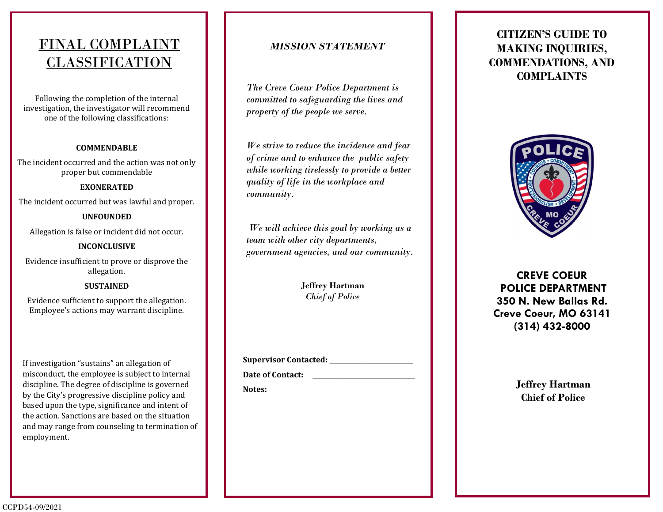## FINAL COMPLAINT CLASSIFICATION

Following the completion of the internal investigation, the investigator will recommend one of the following classifications:

### **COMMENDABLE**

The incident occurred and the action was not only proper but commendable

### **EXONERATED**

The incident occurred but was lawful and proper.

### **UNFOUNDED**

Allegation is false or incident did not occur.

### **INCONCLUSIVE**

Evidence insufficient to prove or disprove the allegation.

#### **SUSTAINED**

Evidence sufficient to support the allegation. Employee's actions may warrant discipline.

If investigation "sustains" an allegation of misconduct, the employee is subject to internal discipline. The degree of discipline is governed by the City's progressive discipline policy and based upon the type, significance and intent of the action. Sanctions are based on the situation and may range from counseling to termination of employment.

### *MISSION STATEMENT*

*The Creve Coeur Police Department is committed to safeguarding the lives and property of the people we serve.*

*We strive to reduce the incidence and fear of crime and to enhance the public safety while working tirelessly to provide a better quality of life in the workplace and community.*

*We will achieve this goal by working as a team with other city departments, government agencies, and our community.*

> **Jeffrey Hartman** *Chief of Police*

**Supervisor Contacted: \_\_\_\_\_\_\_\_\_\_\_\_\_\_\_\_\_\_\_\_\_\_\_\_\_\_\_**

Date of Contact:

**Notes:**

## **CITIZEN'S GUIDE TO MAKING INQUIRIES, COMMENDATIONS, AND COMPLAINTS**



**CREVE COEUR POLICE DEPARTMENT 350 N. New Ballas Rd. Creve Coeur, MO 63141 (314) 432-8000**

> **Jeffrey Hartman Chief of Police**